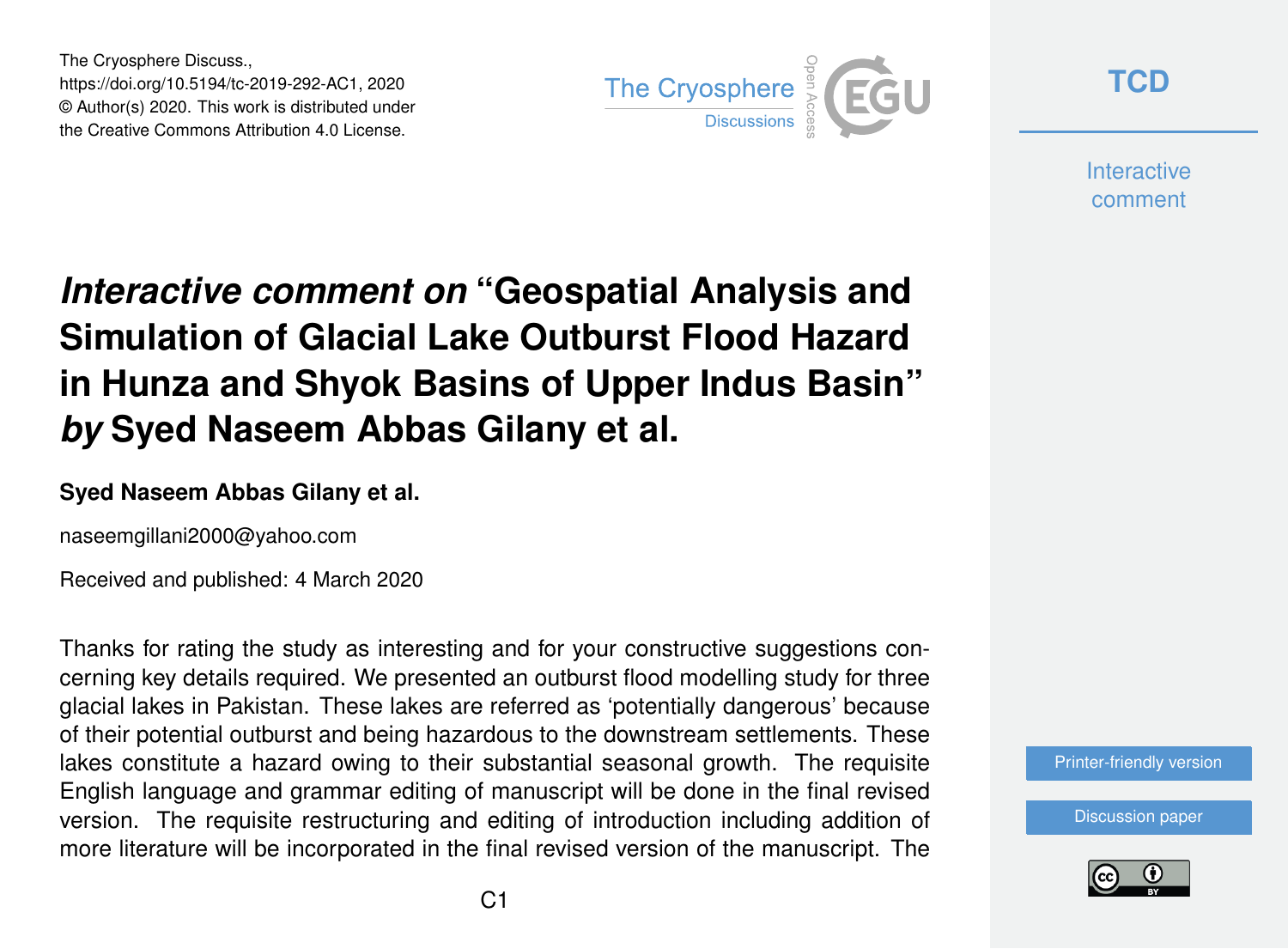The Cryosphere Discuss., https://doi.org/10.5194/tc-2019-292-AC1, 2020 © Author(s) 2020. This work is distributed under the Creative Commons Attribution 4.0 License.



**[TCD](https://www.the-cryosphere-discuss.net/)**

**Interactive** comment

## *Interactive comment on* **"Geospatial Analysis and Simulation of Glacial Lake Outburst Flood Hazard in Hunza and Shyok Basins of Upper Indus Basin"** *by* **Syed Naseem Abbas Gilany et al.**

## **Syed Naseem Abbas Gilany et al.**

naseemgillani2000@yahoo.com

Received and published: 4 March 2020

Thanks for rating the study as interesting and for your constructive suggestions concerning key details required. We presented an outburst flood modelling study for three glacial lakes in Pakistan. These lakes are referred as 'potentially dangerous' because of their potential outburst and being hazardous to the downstream settlements. These lakes constitute a hazard owing to their substantial seasonal growth. The requisite English language and grammar editing of manuscript will be done in the final revised version. The requisite restructuring and editing of introduction including addition of more literature will be incorporated in the final revised version of the manuscript. The



[Discussion paper](https://www.the-cryosphere-discuss.net/tc-2019-292)